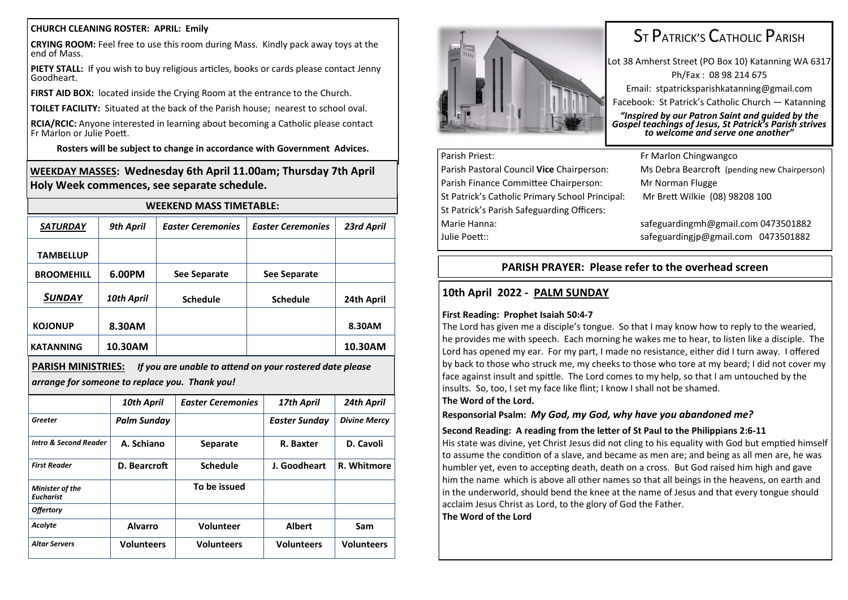#### **CHURCH CLEANING ROSTER: APRIL: Emily**

**CRYING ROOM:** Feel free to use this room during Mass. Kindly pack away toys at the end of Mass.

**PIETY STALL:** If you wish to buy religious articles, books or cards please contact Jenny Goodheart.

**FIRST AID BOX:** located inside the Crying Room at the entrance to the Church.

**TOILET FACILITY:** Situated at the back of the Parish house; nearest to school oval.

**RCIA/RCIC:** Anyone interested in learning about becoming a Catholic please contact Fr Marlon or Julie Poett.

**Rosters will be subject to change in accordance with Government Advices.**

**WEEKDAY MASSES: Wednesday 6th April 11.00am; Thursday 7th April Holy Week commences, see separate schedule.**

|                   | <b>WEEKEND MASS TIMETABLE:</b> |                          |                          |            |  |  |  |
|-------------------|--------------------------------|--------------------------|--------------------------|------------|--|--|--|
| <b>SATURDAY</b>   | 9th April                      | <b>Easter Ceremonies</b> | <b>Easter Ceremonies</b> | 23rd April |  |  |  |
| <b>TAMBELLUP</b>  |                                |                          |                          |            |  |  |  |
| <b>BROOMEHILL</b> | 6.00PM                         | See Separate             | See Separate             |            |  |  |  |
| SUNDAY            | 10th April                     | <b>Schedule</b>          | <b>Schedule</b>          | 24th April |  |  |  |
| <b>KOJONUP</b>    | 8.30AM                         |                          |                          | 8.30AM     |  |  |  |
| <b>KATANNING</b>  | 10.30AM                        |                          |                          | 10.30AM    |  |  |  |

**PARISH MINISTRIES:** *If you are unable to attend on your rostered date please arrange for someone to replace you. Thank you!*

|                                     | 10th April         | <b>Easter Ceremonies</b> | 17th April        | 24th April          |  |
|-------------------------------------|--------------------|--------------------------|-------------------|---------------------|--|
| Greeter                             | <b>Palm Sunday</b> |                          | Easter Sunday     | <b>Divine Mercy</b> |  |
| <b>Intro &amp; Second Reader</b>    | A. Schiano         | <b>Separate</b>          | R. Baxter         | D. Cavoli           |  |
| <b>First Reader</b>                 | D. Bearcroft       | <b>Schedule</b>          | J. Goodheart      | R. Whitmore         |  |
| Minister of the<br><b>Eucharist</b> |                    | To be issued             |                   |                     |  |
| <b>Offertory</b>                    |                    |                          |                   |                     |  |
| Acolyte                             | <b>Alvarro</b>     | <b>Volunteer</b>         | <b>Albert</b>     | Sam                 |  |
| <b>Altar Servers</b>                | <b>Volunteers</b>  | <b>Volunteers</b>        | <b>Volunteers</b> | <b>Volunteers</b>   |  |



# ST PATRICK'S CATHOLIC PARISH

Lot 38 Amherst Street (PO Box 10) Katanning WA 6317 Ph/Fax : 08 98 214 675 Email: stpatricksparishkatanning@gmail.com Facebook: St Patrick's Catholic Church — Katanning

*"Inspired by our Patron Saint and guided by the Gospel teachings of Jesus, St Patrick's Parish strives to welcome and serve one another"*

# Parish Priest: Fr Marlon Chingwangco

Parish Finance Committee Chairperson: Mr Norman Flugge St Patrick's Catholic Primary School Principal: Mr Brett Wilkie (08) 98208 100 St Patrick's Parish Safeguarding Officers: Marie Hanna: safeguardingmh@gmail.com 0473501882 Julie Poett:: safeguardingjp@gmail.com 0473501882

Parish Pastoral Council **Vice** Chairperson: Ms Debra Bearcroft (pending new Chairperson)

# **PARISH PRAYER: Please refer to the overhead screen**

## **10th April 2022 - PALM SUNDAY**

### **First Reading: Prophet Isaiah 50:4-7**

The Lord has given me a disciple's tongue. So that I may know how to reply to the wearied, he provides me with speech. Each morning he wakes me to hear, to listen like a disciple. The Lord has opened my ear. For my part, I made no resistance, either did I turn away. I offered by back to those who struck me, my cheeks to those who tore at my beard; I did not cover my face against insult and spittle. The Lord comes to my help, so that I am untouched by the insults. So, too, I set my face like flint; I know I shall not be shamed. **The Word of the Lord.**

#### **Responsorial Psalm:** *My God, my God, why have you abandoned me?*

### **Second Reading: A reading from the letter of St Paul to the Philippians 2:6-11**

His state was divine, yet Christ Jesus did not cling to his equality with God but emptied himself to assume the condition of a slave, and became as men are; and being as all men are, he was humbler yet, even to accepting death, death on a cross. But God raised him high and gave him the name which is above all other names so that all beings in the heavens, on earth and in the underworld, should bend the knee at the name of Jesus and that every tongue should acclaim Jesus Christ as Lord, to the glory of God the Father.

**The Word of the Lord**